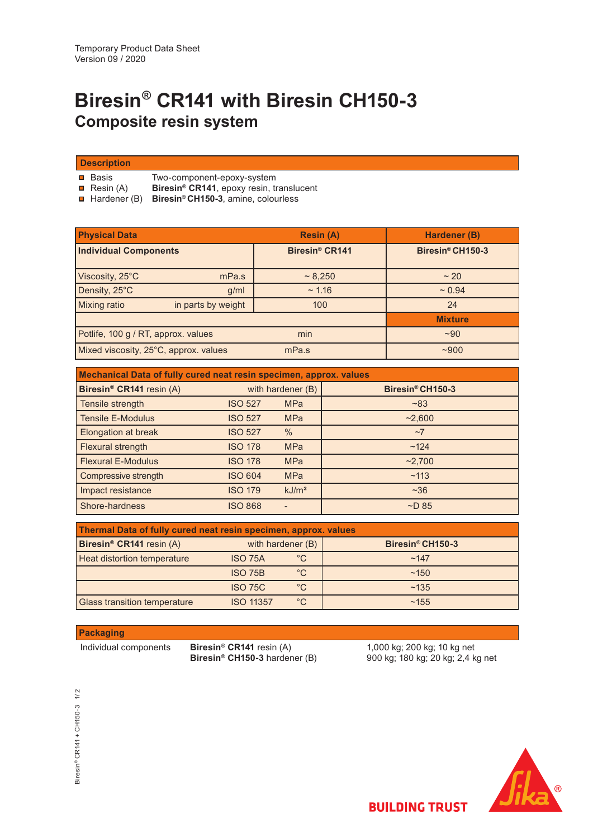# **Biresin® CR141 with Biresin CH150-3 Composite resin system**

**Description**

 $\blacksquare$  Basis

**Resin** (A)

 Hardener (B) **Biresin® CH150-3**, amine, colourless **Biresin® CR141**, epoxy resin, translucent

Two-component-epoxy-system

| <b>Physical Data</b>                  |                    | <b>Resin (A)</b>           | Hardener (B)     |
|---------------------------------------|--------------------|----------------------------|------------------|
| <b>Individual Components</b>          |                    | Biresin <sup>®</sup> CR141 | Biresin® CH150-3 |
| Viscosity, 25°C                       | mPa.s              | ~8,250                     | ~20              |
| Density, 25°C                         | g/ml               | ~1.16                      | $~1$ 0.94        |
| <b>Mixing ratio</b>                   | in parts by weight | 100                        | 24               |
|                                       |                    |                            | <b>Mixture</b>   |
| Potlife, 100 g / RT, approx. values   |                    | min                        | $-90$            |
| Mixed viscosity, 25°C, approx. values |                    | mPa.s                      | ~1000            |

| Mechanical Data of fully cured neat resin specimen, approx. values |                   |                   |                  |  |  |  |  |  |
|--------------------------------------------------------------------|-------------------|-------------------|------------------|--|--|--|--|--|
| Biresin <sup>®</sup> CR141 resin (A)                               | with hardener (B) |                   | Biresin® CH150-3 |  |  |  |  |  |
| Tensile strength                                                   | <b>ISO 527</b>    | <b>MPa</b>        | ~183             |  |  |  |  |  |
| <b>Tensile E-Modulus</b>                                           | <b>ISO 527</b>    | <b>MPa</b>        | ~2,600           |  |  |  |  |  |
| Elongation at break                                                | <b>ISO 527</b>    | $\%$              | ~1               |  |  |  |  |  |
| Flexural strength                                                  | <b>ISO 178</b>    | <b>MPa</b>        | ~124             |  |  |  |  |  |
| <b>Flexural E-Modulus</b>                                          | <b>ISO 178</b>    | <b>MPa</b>        | ~2,700           |  |  |  |  |  |
| Compressive strength                                               | <b>ISO 604</b>    | <b>MPa</b>        | ~113             |  |  |  |  |  |
| Impact resistance                                                  | <b>ISO 179</b>    | kJ/m <sup>2</sup> | ~236             |  |  |  |  |  |
| Shore-hardness                                                     | <b>ISO 868</b>    |                   | $\neg D 85$      |  |  |  |  |  |

| Thermal Data of fully cured neat resin specimen, approx. values |                   |             |                              |  |  |  |
|-----------------------------------------------------------------|-------------------|-------------|------------------------------|--|--|--|
| Biresin <sup>®</sup> CR141 resin (A)                            | with hardener (B) |             | Biresin <sup>®</sup> CH150-3 |  |  |  |
| Heat distortion temperature                                     | <b>ISO 75A</b>    | $^{\circ}C$ | ~147                         |  |  |  |
|                                                                 | <b>ISO 75B</b>    | °C          | ~150                         |  |  |  |
|                                                                 | <b>ISO 75C</b>    | °C          | ~135                         |  |  |  |
| <b>Glass transition temperature</b>                             | <b>ISO 11357</b>  | °C          | ~155                         |  |  |  |

# **Packaging**

Individual components **Biresin® CR141** resin (A) **Biresin® CH150-3** hardener (B)

1,000 kg; 200 kg; 10 kg net 900 kg; 180 kg; 20 kg; 2,4 kg net